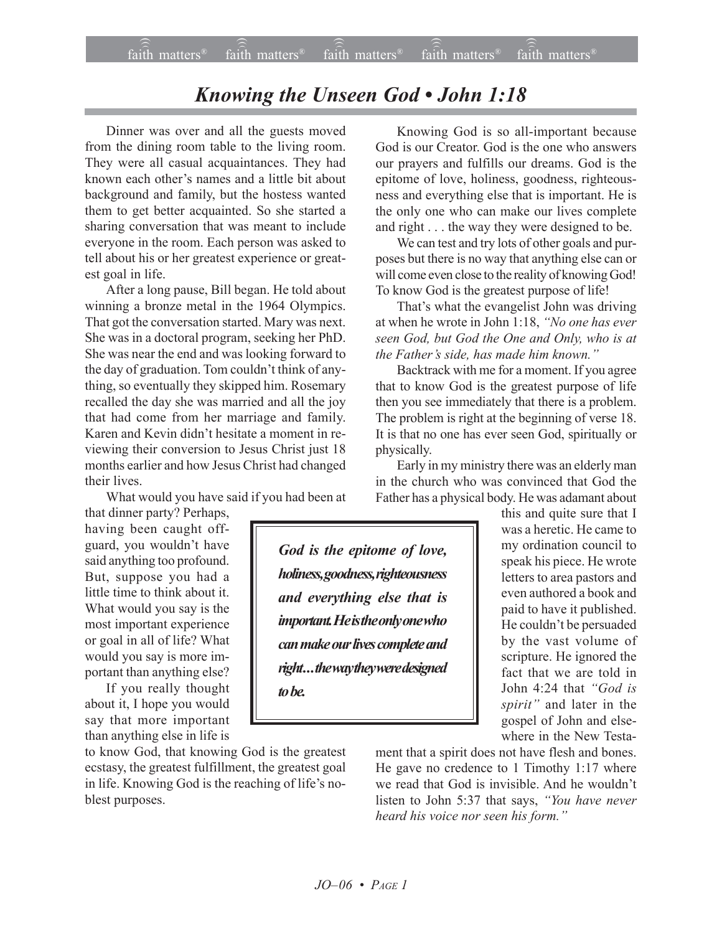## *Knowing the Unseen God • John 1:18*

Dinner was over and all the guests moved from the dining room table to the living room. They were all casual acquaintances. They had known each other's names and a little bit about background and family, but the hostess wanted them to get better acquainted. So she started a sharing conversation that was meant to include everyone in the room. Each person was asked to tell about his or her greatest experience or greatest goal in life.

After a long pause, Bill began. He told about winning a bronze metal in the 1964 Olympics. That got the conversation started. Mary was next. She was in a doctoral program, seeking her PhD. She was near the end and was looking forward to the day of graduation. Tom couldn't think of anything, so eventually they skipped him. Rosemary recalled the day she was married and all the joy that had come from her marriage and family. Karen and Kevin didn't hesitate a moment in reviewing their conversion to Jesus Christ just 18 months earlier and how Jesus Christ had changed their lives.

What would you have said if you had been at

that dinner party? Perhaps, having been caught offguard, you wouldn't have said anything too profound. But, suppose you had a little time to think about it. What would you say is the most important experience or goal in all of life? What would you say is more important than anything else?

If you really thought about it, I hope you would say that more important than anything else in life is

to know God, that knowing God is the greatest ecstasy, the greatest fulfillment, the greatest goal in life. Knowing God is the reaching of life's noblest purposes.

Knowing God is so all-important because God is our Creator. God is the one who answers our prayers and fulfills our dreams. God is the epitome of love, holiness, goodness, righteousness and everything else that is important. He is the only one who can make our lives complete and right . . . the way they were designed to be.

We can test and try lots of other goals and purposes but there is no way that anything else can or will come even close to the reality of knowing God! To know God is the greatest purpose of life!

That's what the evangelist John was driving at when he wrote in John 1:18, "No one has ever *seen God, but God the One and Only, who is at the Father's side, has made him known.*"

Backtrack with me for a moment. If you agree that to know God is the greatest purpose of life then you see immediately that there is a problem. The problem is right at the beginning of verse 18. It is that no one has ever seen God, spiritually or physically.

Early in my ministry there was an elderly man in the church who was convinced that God the Father has a physical body. He was adamant about

*God is the epitome of love, holiness, goodness, righteousness and everything else that is important. He is the only one who can make our lives complete and right . . . the way they were designed to be.*

this and quite sure that I was a heretic. He came to my ordination council to speak his piece. He wrote letters to area pastors and even authored a book and paid to have it published. He couldn't be persuaded by the vast volume of scripture. He ignored the fact that we are told in John 4:24 that "God is *spirit*" and later in the gospel of John and elsewhere in the New Testa-

ment that a spirit does not have flesh and bones. He gave no credence to 1 Timothy 1:17 where we read that God is invisible. And he wouldn't listen to John 5:37 that says, "You have never *heard his voice nor seen his form.*"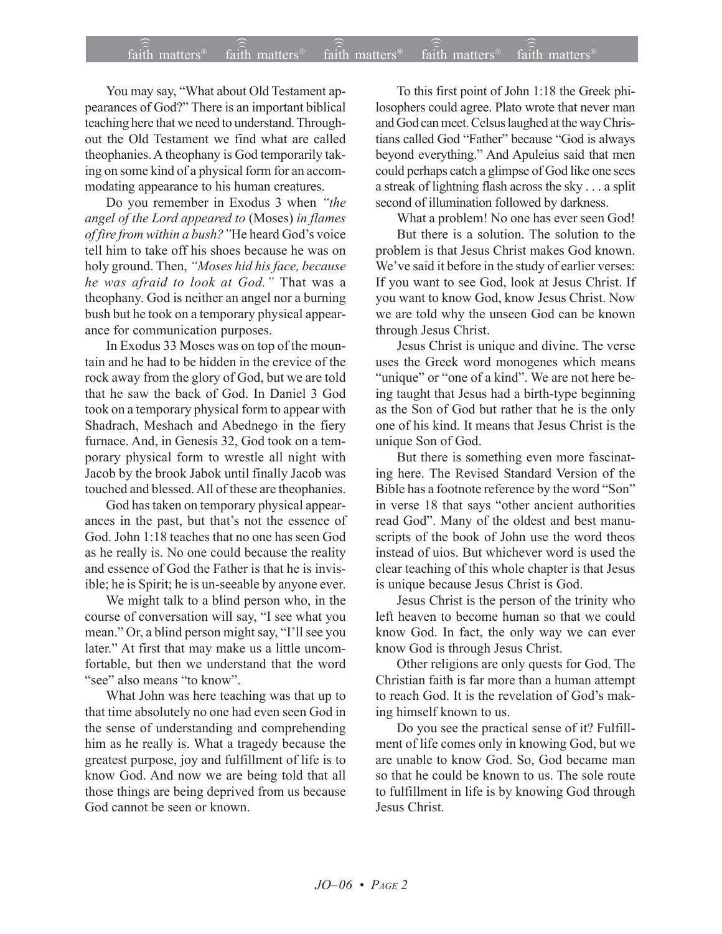## $\widehat{\widehat{\mathfrak{tair}}}$  matters  $\widehat{\widehat{\mathfrak{tair}}}$  matters  $\widehat{\widehat{\mathfrak{tair}}}$  matters  $\widehat{\widehat{\mathfrak{tair}}}$  matters  $\widehat{\widehat{\mathfrak{se}}}$  faith matters faith matters<sup>®</sup> faith matters<sup>®</sup>  $\widehat{f}$ aith matters<sup>®</sup>

You may say, "What about Old Testament appearances of God?" There is an important biblical teaching here that we need to understand. Throughout the Old Testament we find what are called theophanies. A theophany is God temporarily taking on some kind of a physical form for an accommodating appearance to his human creatures.

Do you remember in Exodus 3 when "the *angel of the Lord appeared to* (Moses) *in flames of fire from within a bush?* "He heard God's voice tell him to take off his shoes because he was on holy ground. Then, "Moses hid his face, because *he was afraid to look at God.î* That was a theophany. God is neither an angel nor a burning bush but he took on a temporary physical appearance for communication purposes.

In Exodus 33 Moses was on top of the mountain and he had to be hidden in the crevice of the rock away from the glory of God, but we are told that he saw the back of God. In Daniel 3 God took on a temporary physical form to appear with Shadrach, Meshach and Abednego in the fiery furnace. And, in Genesis 32, God took on a temporary physical form to wrestle all night with Jacob by the brook Jabok until finally Jacob was touched and blessed. All of these are theophanies.

God has taken on temporary physical appearances in the past, but that's not the essence of God. John 1:18 teaches that no one has seen God as he really is. No one could because the reality and essence of God the Father is that he is invisible; he is Spirit; he is un-seeable by anyone ever.

We might talk to a blind person who, in the course of conversation will say, "I see what you mean." Or, a blind person might say, "I'll see you later." At first that may make us a little uncomfortable, but then we understand that the word "see" also means "to know".

What John was here teaching was that up to that time absolutely no one had even seen God in the sense of understanding and comprehending him as he really is. What a tragedy because the greatest purpose, joy and fulfillment of life is to know God. And now we are being told that all those things are being deprived from us because God cannot be seen or known.

To this first point of John 1:18 the Greek philosophers could agree. Plato wrote that never man and God can meet. Celsus laughed at the way Christians called God "Father" because "God is always beyond everything." And Apuleius said that men could perhaps catch a glimpse of God like one sees a streak of lightning flash across the sky . . . a split second of illumination followed by darkness.

What a problem! No one has ever seen God!

But there is a solution. The solution to the problem is that Jesus Christ makes God known. We've said it before in the study of earlier verses: If you want to see God, look at Jesus Christ. If you want to know God, know Jesus Christ. Now we are told why the unseen God can be known through Jesus Christ.

Jesus Christ is unique and divine. The verse uses the Greek word monogenes which means "unique" or "one of a kind". We are not here being taught that Jesus had a birth-type beginning as the Son of God but rather that he is the only one of his kind. It means that Jesus Christ is the unique Son of God.

But there is something even more fascinating here. The Revised Standard Version of the Bible has a footnote reference by the word "Son" in verse 18 that says "other ancient authorities read God". Many of the oldest and best manuscripts of the book of John use the word theos instead of uios. But whichever word is used the clear teaching of this whole chapter is that Jesus is unique because Jesus Christ is God.

Jesus Christ is the person of the trinity who left heaven to become human so that we could know God. In fact, the only way we can ever know God is through Jesus Christ.

Other religions are only quests for God. The Christian faith is far more than a human attempt to reach God. It is the revelation of God's making himself known to us.

Do you see the practical sense of it? Fulfillment of life comes only in knowing God, but we are unable to know God. So, God became man so that he could be known to us. The sole route to fulfillment in life is by knowing God through Jesus Christ.